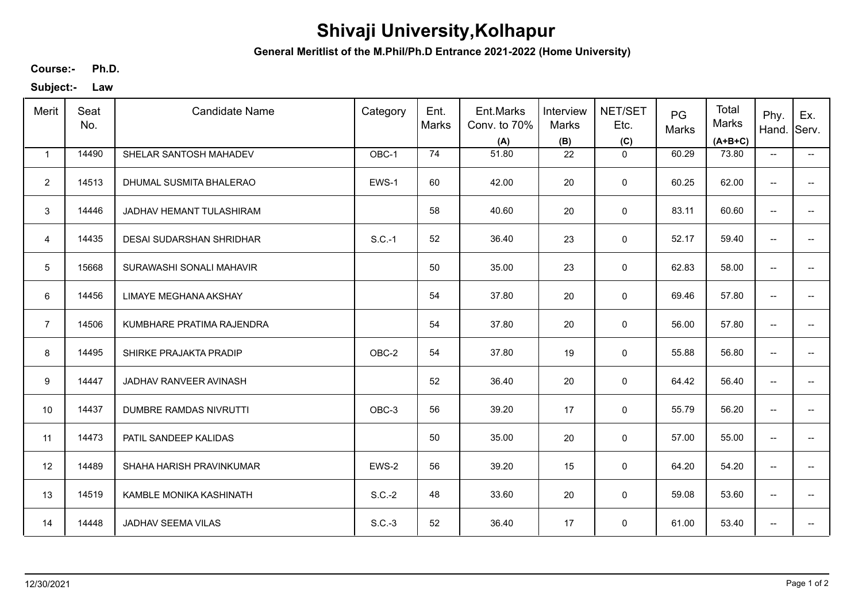## **Shivaji University,Kolhapur**

**General Meritlist of the M.Phil/Ph.D Entrance 2021-2022 (Home University)**

**Ph.D. Course:-**

**Subject:- Law**

| Merit           | Seat<br>No. | <b>Candidate Name</b>         | Category | Ent.<br><b>Marks</b> | Ent.Marks<br>Conv. to 70%<br>(A) | Interview<br>Marks<br>(B) | NET/SET<br>Etc.<br>(C) | PG<br>Marks | Total<br>Marks<br>$(A+B+C)$ | Phy.<br>Hand.                       | Ex.<br>Serv.             |
|-----------------|-------------|-------------------------------|----------|----------------------|----------------------------------|---------------------------|------------------------|-------------|-----------------------------|-------------------------------------|--------------------------|
| $\mathbf{1}$    | 14490       | SHELAR SANTOSH MAHADEV        | OBC-1    | 74                   | 51.80                            | 22                        | $\mathbf 0$            | 60.29       | 73.80                       | $\overline{\phantom{a}}$            | $\overline{\phantom{a}}$ |
| $\overline{2}$  | 14513       | DHUMAL SUSMITA BHALERAO       | EWS-1    | 60                   | 42.00                            | 20                        | $\pmb{0}$              | 60.25       | 62.00                       | $\overline{\phantom{a}}$            | -−                       |
| 3               | 14446       | JADHAV HEMANT TULASHIRAM      |          | 58                   | 40.60                            | 20                        | $\pmb{0}$              | 83.11       | 60.60                       | $\overline{\phantom{a}}$            | $-$                      |
| 4               | 14435       | DESAI SUDARSHAN SHRIDHAR      | $S.C.-1$ | 52                   | 36.40                            | 23                        | 0                      | 52.17       | 59.40                       | $\overline{\phantom{a}}$            | $\overline{\phantom{a}}$ |
| $5\phantom{.0}$ | 15668       | SURAWASHI SONALI MAHAVIR      |          | 50                   | 35.00                            | 23                        | 0                      | 62.83       | 58.00                       | $\overline{\phantom{m}}$            | $\overline{a}$           |
| 6               | 14456       | LIMAYE MEGHANA AKSHAY         |          | 54                   | 37.80                            | 20                        | 0                      | 69.46       | 57.80                       | $\overline{\phantom{a}}$            | $\overline{\phantom{a}}$ |
| $\overline{7}$  | 14506       | KUMBHARE PRATIMA RAJENDRA     |          | 54                   | 37.80                            | 20                        | $\pmb{0}$              | 56.00       | 57.80                       | $\overline{\phantom{a}}$            | $\overline{a}$           |
| 8               | 14495       | SHIRKE PRAJAKTA PRADIP        | OBC-2    | 54                   | 37.80                            | 19                        | $\pmb{0}$              | 55.88       | 56.80                       | $\overline{\phantom{a}}$            | $\overline{\phantom{a}}$ |
| 9               | 14447       | JADHAV RANVEER AVINASH        |          | 52                   | 36.40                            | 20                        | $\mathbf 0$            | 64.42       | 56.40                       | $\overline{\phantom{a}}$            | $-$                      |
| 10              | 14437       | <b>DUMBRE RAMDAS NIVRUTTI</b> | OBC-3    | 56                   | 39.20                            | 17                        | 0                      | 55.79       | 56.20                       | $\overline{\phantom{a}}$            | $-$                      |
| 11              | 14473       | PATIL SANDEEP KALIDAS         |          | 50                   | 35.00                            | 20                        | $\pmb{0}$              | 57.00       | 55.00                       | $\overline{\phantom{a}}$            | $\overline{\phantom{a}}$ |
| 12              | 14489       | SHAHA HARISH PRAVINKUMAR      | EWS-2    | 56                   | 39.20                            | 15                        | 0                      | 64.20       | 54.20                       | $\overline{\phantom{a}}$            | $\overline{\phantom{a}}$ |
| 13              | 14519       | KAMBLE MONIKA KASHINATH       | $S.C.-2$ | 48                   | 33.60                            | 20                        | 0                      | 59.08       | 53.60                       | $\overline{\phantom{a}}$            | $\overline{\phantom{a}}$ |
| 14              | 14448       | JADHAV SEEMA VILAS            | $S.C.-3$ | 52                   | 36.40                            | 17                        | 0                      | 61.00       | 53.40                       | $\hspace{0.05cm}$ $\hspace{0.05cm}$ | ÷                        |